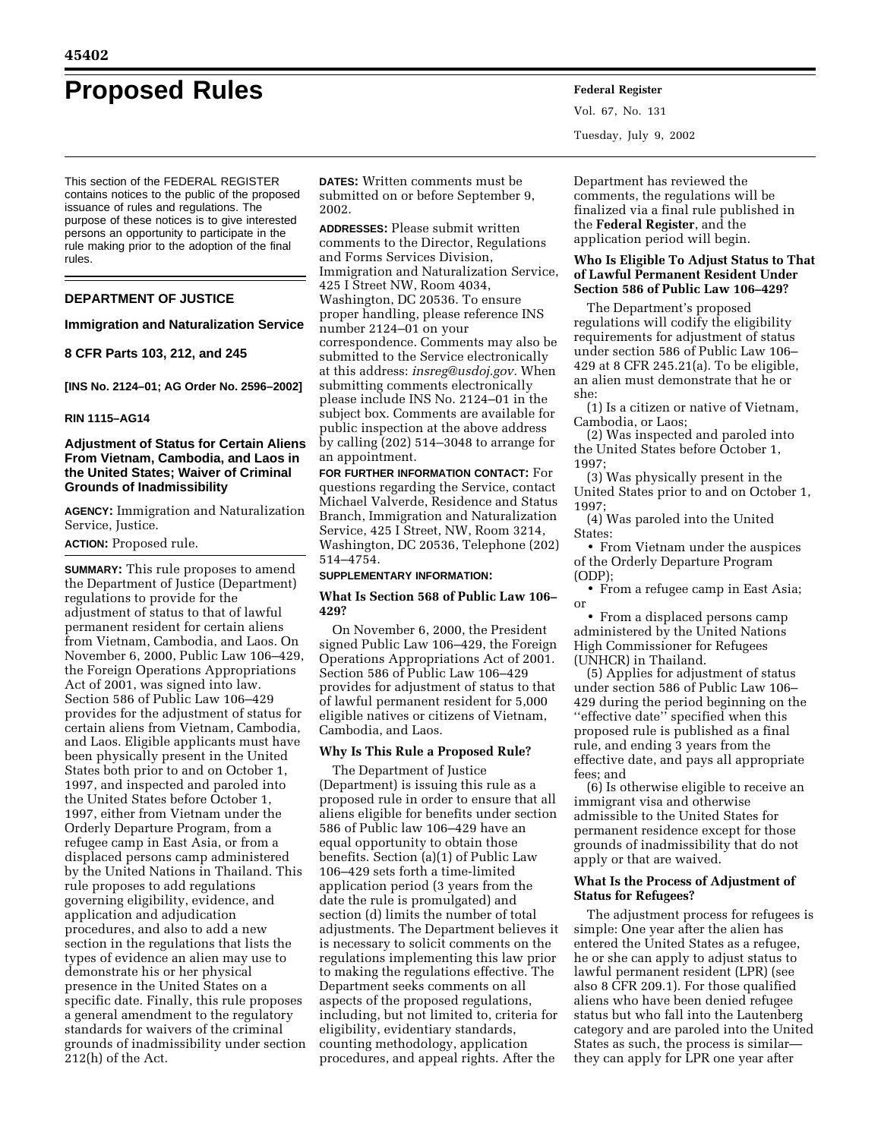# **Proposed Rules Federal Register**

This section of the FEDERAL REGISTER contains notices to the public of the proposed issuance of rules and regulations. The purpose of these notices is to give interested persons an opportunity to participate in the rule making prior to the adoption of the final rules.

# **DEPARTMENT OF JUSTICE**

# **Immigration and Naturalization Service**

**8 CFR Parts 103, 212, and 245** 

**[INS No. 2124–01; AG Order No. 2596–2002]** 

## **RIN 1115–AG14**

# **Adjustment of Status for Certain Aliens From Vietnam, Cambodia, and Laos in the United States; Waiver of Criminal Grounds of Inadmissibility**

**AGENCY:** Immigration and Naturalization Service, Justice.

**ACTION:** Proposed rule.

**SUMMARY:** This rule proposes to amend the Department of Justice (Department) regulations to provide for the adjustment of status to that of lawful permanent resident for certain aliens from Vietnam, Cambodia, and Laos. On November 6, 2000, Public Law 106–429, the Foreign Operations Appropriations Act of 2001, was signed into law. Section 586 of Public Law 106–429 provides for the adjustment of status for certain aliens from Vietnam, Cambodia, and Laos. Eligible applicants must have been physically present in the United States both prior to and on October 1, 1997, and inspected and paroled into the United States before October 1, 1997, either from Vietnam under the Orderly Departure Program, from a refugee camp in East Asia, or from a displaced persons camp administered by the United Nations in Thailand. This rule proposes to add regulations governing eligibility, evidence, and application and adjudication procedures, and also to add a new section in the regulations that lists the types of evidence an alien may use to demonstrate his or her physical presence in the United States on a specific date. Finally, this rule proposes a general amendment to the regulatory standards for waivers of the criminal grounds of inadmissibility under section 212(h) of the Act.

**DATES:** Written comments must be submitted on or before September 9, 2002.

**ADDRESSES:** Please submit written comments to the Director, Regulations and Forms Services Division, Immigration and Naturalization Service, 425 I Street NW, Room 4034, Washington, DC 20536. To ensure proper handling, please reference INS number 2124–01 on your correspondence. Comments may also be submitted to the Service electronically at this address: *insreg@usdoj.gov.* When submitting comments electronically please include INS No. 2124–01 in the subject box. Comments are available for public inspection at the above address by calling (202) 514–3048 to arrange for an appointment.

**FOR FURTHER INFORMATION CONTACT:** For questions regarding the Service, contact Michael Valverde, Residence and Status Branch, Immigration and Naturalization Service, 425 I Street, NW, Room 3214, Washington, DC 20536, Telephone (202) 514–4754.

#### **SUPPLEMENTARY INFORMATION:**

## **What Is Section 568 of Public Law 106– 429?**

On November 6, 2000, the President signed Public Law 106–429, the Foreign Operations Appropriations Act of 2001. Section 586 of Public Law 106–429 provides for adjustment of status to that of lawful permanent resident for 5,000 eligible natives or citizens of Vietnam, Cambodia, and Laos.

## **Why Is This Rule a Proposed Rule?**

The Department of Justice (Department) is issuing this rule as a proposed rule in order to ensure that all aliens eligible for benefits under section 586 of Public law 106–429 have an equal opportunity to obtain those benefits. Section (a)(1) of Public Law 106–429 sets forth a time-limited application period (3 years from the date the rule is promulgated) and section (d) limits the number of total adjustments. The Department believes it is necessary to solicit comments on the regulations implementing this law prior to making the regulations effective. The Department seeks comments on all aspects of the proposed regulations, including, but not limited to, criteria for eligibility, evidentiary standards, counting methodology, application procedures, and appeal rights. After the

Vol. 67, No. 131 Tuesday, July 9, 2002

Department has reviewed the comments, the regulations will be finalized via a final rule published in the **Federal Register**, and the application period will begin.

## **Who Is Eligible To Adjust Status to That of Lawful Permanent Resident Under Section 586 of Public Law 106–429?**

The Department's proposed regulations will codify the eligibility requirements for adjustment of status under section 586 of Public Law 106– 429 at 8 CFR 245.21(a). To be eligible, an alien must demonstrate that he or she:

(1) Is a citizen or native of Vietnam, Cambodia, or Laos;

(2) Was inspected and paroled into the United States before October 1, 1997;

(3) Was physically present in the United States prior to and on October 1, 1997;

(4) Was paroled into the United States:

• From Vietnam under the auspices of the Orderly Departure Program (ODP);

• From a refugee camp in East Asia; or

• From a displaced persons camp administered by the United Nations High Commissioner for Refugees (UNHCR) in Thailand.

(5) Applies for adjustment of status under section 586 of Public Law 106– 429 during the period beginning on the ''effective date'' specified when this proposed rule is published as a final rule, and ending 3 years from the effective date, and pays all appropriate fees; and

(6) Is otherwise eligible to receive an immigrant visa and otherwise admissible to the United States for permanent residence except for those grounds of inadmissibility that do not apply or that are waived.

## **What Is the Process of Adjustment of Status for Refugees?**

The adjustment process for refugees is simple: One year after the alien has entered the United States as a refugee, he or she can apply to adjust status to lawful permanent resident (LPR) (see also 8 CFR 209.1). For those qualified aliens who have been denied refugee status but who fall into the Lautenberg category and are paroled into the United States as such, the process is similar they can apply for LPR one year after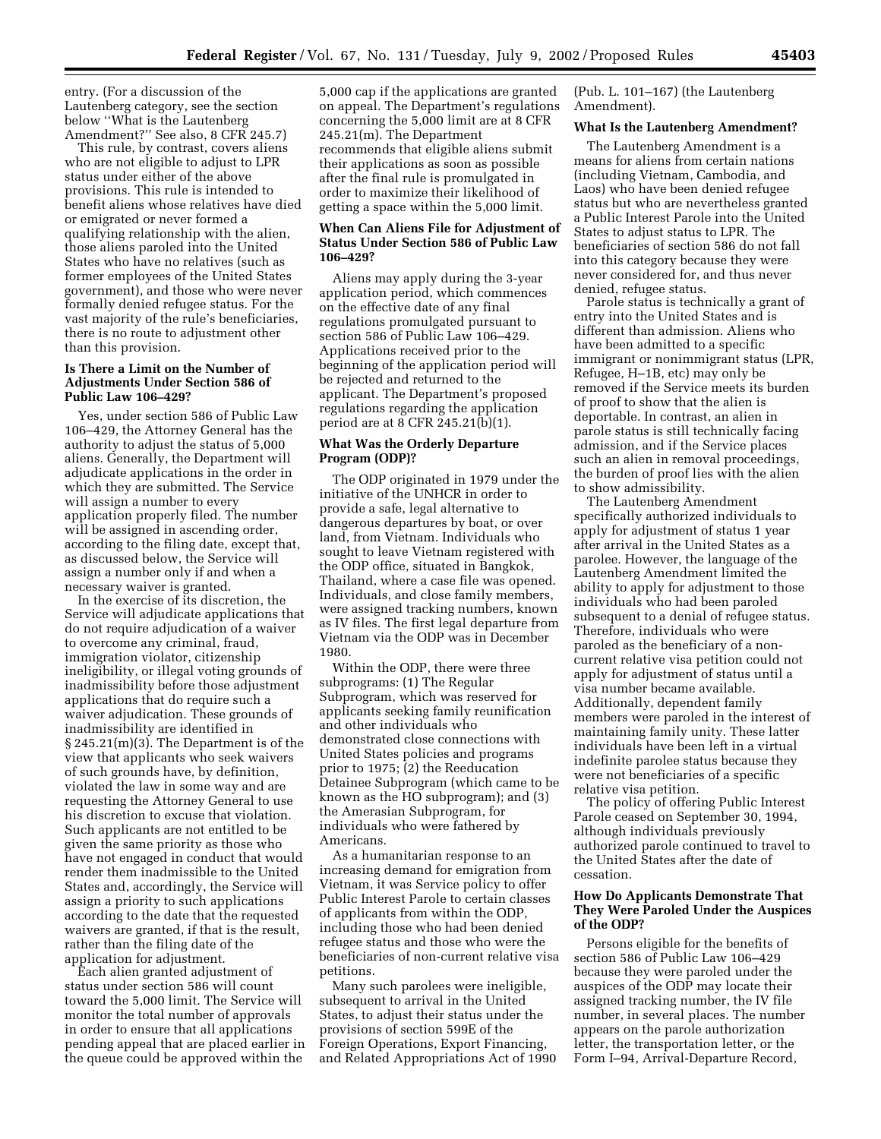entry. (For a discussion of the Lautenberg category, see the section below ''What is the Lautenberg Amendment?'' See also, 8 CFR 245.7)

This rule, by contrast, covers aliens who are not eligible to adjust to LPR status under either of the above provisions. This rule is intended to benefit aliens whose relatives have died or emigrated or never formed a qualifying relationship with the alien, those aliens paroled into the United States who have no relatives (such as former employees of the United States government), and those who were never formally denied refugee status. For the vast majority of the rule's beneficiaries, there is no route to adjustment other than this provision.

## **Is There a Limit on the Number of Adjustments Under Section 586 of Public Law 106–429?**

Yes, under section 586 of Public Law 106–429, the Attorney General has the authority to adjust the status of 5,000 aliens. Generally, the Department will adjudicate applications in the order in which they are submitted. The Service will assign a number to every application properly filed. The number will be assigned in ascending order, according to the filing date, except that, as discussed below, the Service will assign a number only if and when a necessary waiver is granted.

In the exercise of its discretion, the Service will adjudicate applications that do not require adjudication of a waiver to overcome any criminal, fraud, immigration violator, citizenship ineligibility, or illegal voting grounds of inadmissibility before those adjustment applications that do require such a waiver adjudication. These grounds of inadmissibility are identified in § 245.21(m)(3). The Department is of the view that applicants who seek waivers of such grounds have, by definition, violated the law in some way and are requesting the Attorney General to use his discretion to excuse that violation. Such applicants are not entitled to be given the same priority as those who have not engaged in conduct that would render them inadmissible to the United States and, accordingly, the Service will assign a priority to such applications according to the date that the requested waivers are granted, if that is the result, rather than the filing date of the application for adjustment.

Each alien granted adjustment of status under section 586 will count toward the 5,000 limit. The Service will monitor the total number of approvals in order to ensure that all applications pending appeal that are placed earlier in the queue could be approved within the

5,000 cap if the applications are granted on appeal. The Department's regulations concerning the 5,000 limit are at 8 CFR 245.21(m). The Department recommends that eligible aliens submit their applications as soon as possible after the final rule is promulgated in order to maximize their likelihood of getting a space within the 5,000 limit.

# **When Can Aliens File for Adjustment of Status Under Section 586 of Public Law 106–429?**

Aliens may apply during the 3-year application period, which commences on the effective date of any final regulations promulgated pursuant to section 586 of Public Law 106–429. Applications received prior to the beginning of the application period will be rejected and returned to the applicant. The Department's proposed regulations regarding the application period are at 8 CFR 245.21(b)(1).

## **What Was the Orderly Departure Program (ODP)?**

The ODP originated in 1979 under the initiative of the UNHCR in order to provide a safe, legal alternative to dangerous departures by boat, or over land, from Vietnam. Individuals who sought to leave Vietnam registered with the ODP office, situated in Bangkok, Thailand, where a case file was opened. Individuals, and close family members, were assigned tracking numbers, known as IV files. The first legal departure from Vietnam via the ODP was in December 1980.

Within the ODP, there were three subprograms: (1) The Regular Subprogram, which was reserved for applicants seeking family reunification and other individuals who demonstrated close connections with United States policies and programs prior to 1975; (2) the Reeducation Detainee Subprogram (which came to be known as the HO subprogram); and (3) the Amerasian Subprogram, for individuals who were fathered by Americans.

As a humanitarian response to an increasing demand for emigration from Vietnam, it was Service policy to offer Public Interest Parole to certain classes of applicants from within the ODP, including those who had been denied refugee status and those who were the beneficiaries of non-current relative visa petitions.

Many such parolees were ineligible, subsequent to arrival in the United States, to adjust their status under the provisions of section 599E of the Foreign Operations, Export Financing, and Related Appropriations Act of 1990

(Pub. L. 101–167) (the Lautenberg Amendment).

#### **What Is the Lautenberg Amendment?**

The Lautenberg Amendment is a means for aliens from certain nations (including Vietnam, Cambodia, and Laos) who have been denied refugee status but who are nevertheless granted a Public Interest Parole into the United States to adjust status to LPR. The beneficiaries of section 586 do not fall into this category because they were never considered for, and thus never denied, refugee status.

Parole status is technically a grant of entry into the United States and is different than admission. Aliens who have been admitted to a specific immigrant or nonimmigrant status (LPR, Refugee, H–1B, etc) may only be removed if the Service meets its burden of proof to show that the alien is deportable. In contrast, an alien in parole status is still technically facing admission, and if the Service places such an alien in removal proceedings, the burden of proof lies with the alien to show admissibility.

The Lautenberg Amendment specifically authorized individuals to apply for adjustment of status 1 year after arrival in the United States as a parolee. However, the language of the Lautenberg Amendment limited the ability to apply for adjustment to those individuals who had been paroled subsequent to a denial of refugee status. Therefore, individuals who were paroled as the beneficiary of a noncurrent relative visa petition could not apply for adjustment of status until a visa number became available. Additionally, dependent family members were paroled in the interest of maintaining family unity. These latter individuals have been left in a virtual indefinite parolee status because they were not beneficiaries of a specific relative visa petition.

The policy of offering Public Interest Parole ceased on September 30, 1994, although individuals previously authorized parole continued to travel to the United States after the date of cessation.

# **How Do Applicants Demonstrate That They Were Paroled Under the Auspices of the ODP?**

Persons eligible for the benefits of section 586 of Public Law 106–429 because they were paroled under the auspices of the ODP may locate their assigned tracking number, the IV file number, in several places. The number appears on the parole authorization letter, the transportation letter, or the Form I–94, Arrival-Departure Record,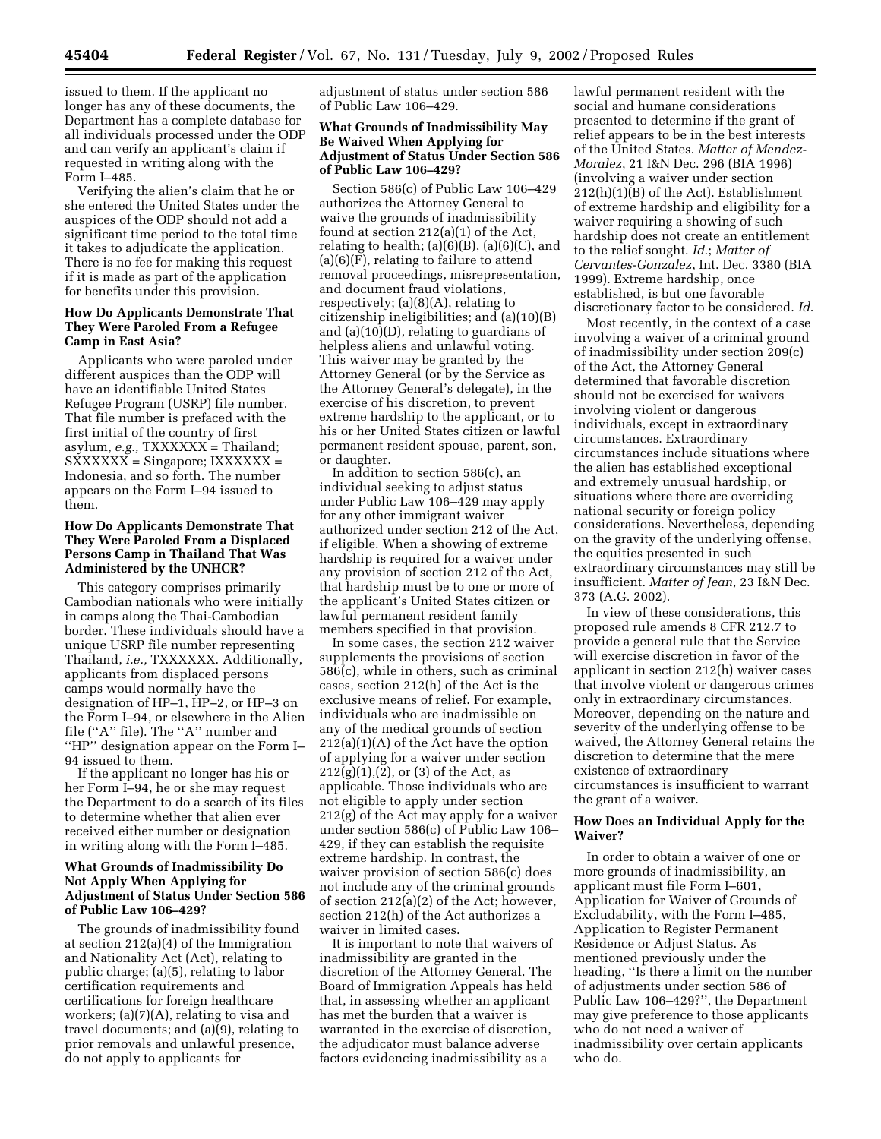issued to them. If the applicant no longer has any of these documents, the Department has a complete database for all individuals processed under the ODP and can verify an applicant's claim if requested in writing along with the Form I–485.

Verifying the alien's claim that he or she entered the United States under the auspices of the ODP should not add a significant time period to the total time it takes to adjudicate the application. There is no fee for making this request if it is made as part of the application for benefits under this provision.

## **How Do Applicants Demonstrate That They Were Paroled From a Refugee Camp in East Asia?**

Applicants who were paroled under different auspices than the ODP will have an identifiable United States Refugee Program (USRP) file number. That file number is prefaced with the first initial of the country of first asylum, *e.g.,* TXXXXXX = Thailand; SXXXXXX = Singapore; IXXXXXX = Indonesia, and so forth. The number appears on the Form I–94 issued to them.

## **How Do Applicants Demonstrate That They Were Paroled From a Displaced Persons Camp in Thailand That Was Administered by the UNHCR?**

This category comprises primarily Cambodian nationals who were initially in camps along the Thai-Cambodian border. These individuals should have a unique USRP file number representing Thailand, *i.e.,* TXXXXXX. Additionally, applicants from displaced persons camps would normally have the designation of HP–1, HP–2, or HP–3 on the Form I–94, or elsewhere in the Alien file (''A'' file). The ''A'' number and ''HP'' designation appear on the Form I– 94 issued to them.

If the applicant no longer has his or her Form I–94, he or she may request the Department to do a search of its files to determine whether that alien ever received either number or designation in writing along with the Form I–485.

# **What Grounds of Inadmissibility Do Not Apply When Applying for Adjustment of Status Under Section 586 of Public Law 106–429?**

The grounds of inadmissibility found at section 212(a)(4) of the Immigration and Nationality Act (Act), relating to public charge; (a)(5), relating to labor certification requirements and certifications for foreign healthcare workers; (a)(7)(A), relating to visa and travel documents; and (a)(9), relating to prior removals and unlawful presence, do not apply to applicants for

adjustment of status under section 586 of Public Law 106–429.

# **What Grounds of Inadmissibility May Be Waived When Applying for Adjustment of Status Under Section 586 of Public Law 106–429?**

Section 586(c) of Public Law 106–429 authorizes the Attorney General to waive the grounds of inadmissibility found at section 212(a)(1) of the Act, relating to health;  $(a)(6)(B)$ ,  $(a)(6)(C)$ , and (a)(6)(F), relating to failure to attend removal proceedings, misrepresentation, and document fraud violations, respectively; (a)(8)(A), relating to citizenship ineligibilities; and (a)(10)(B) and  $(a)(10)$  $(D)$ , relating to guardians of helpless aliens and unlawful voting. This waiver may be granted by the Attorney General (or by the Service as the Attorney General's delegate), in the exercise of his discretion, to prevent extreme hardship to the applicant, or to his or her United States citizen or lawful permanent resident spouse, parent, son, or daughter.

In addition to section 586(c), an individual seeking to adjust status under Public Law 106–429 may apply for any other immigrant waiver authorized under section 212 of the Act, if eligible. When a showing of extreme hardship is required for a waiver under any provision of section 212 of the Act, that hardship must be to one or more of the applicant's United States citizen or lawful permanent resident family members specified in that provision.

In some cases, the section 212 waiver supplements the provisions of section 586(c), while in others, such as criminal cases, section 212(h) of the Act is the exclusive means of relief. For example, individuals who are inadmissible on any of the medical grounds of section 212(a)(1)(A) of the Act have the option of applying for a waiver under section  $212(g)(1),(2)$ , or  $(3)$  of the Act, as applicable. Those individuals who are not eligible to apply under section 212(g) of the Act may apply for a waiver under section 586(c) of Public Law 106– 429, if they can establish the requisite extreme hardship. In contrast, the waiver provision of section 586(c) does not include any of the criminal grounds of section 212(a)(2) of the Act; however, section 212(h) of the Act authorizes a waiver in limited cases.

It is important to note that waivers of inadmissibility are granted in the discretion of the Attorney General. The Board of Immigration Appeals has held that, in assessing whether an applicant has met the burden that a waiver is warranted in the exercise of discretion, the adjudicator must balance adverse factors evidencing inadmissibility as a

lawful permanent resident with the social and humane considerations presented to determine if the grant of relief appears to be in the best interests of the United States. *Matter of Mendez-Moralez*, 21 I&N Dec. 296 (BIA 1996) (involving a waiver under section 212(h)(1)(B) of the Act). Establishment of extreme hardship and eligibility for a waiver requiring a showing of such hardship does not create an entitlement to the relief sought. *Id*.; *Matter of Cervantes-Gonzalez*, Int. Dec. 3380 (BIA 1999). Extreme hardship, once established, is but one favorable discretionary factor to be considered. *Id*.

Most recently, in the context of a case involving a waiver of a criminal ground of inadmissibility under section 209(c) of the Act, the Attorney General determined that favorable discretion should not be exercised for waivers involving violent or dangerous individuals, except in extraordinary circumstances. Extraordinary circumstances include situations where the alien has established exceptional and extremely unusual hardship, or situations where there are overriding national security or foreign policy considerations. Nevertheless, depending on the gravity of the underlying offense, the equities presented in such extraordinary circumstances may still be insufficient. *Matter of Jean*, 23 I&N Dec. 373 (A.G. 2002).

In view of these considerations, this proposed rule amends 8 CFR 212.7 to provide a general rule that the Service will exercise discretion in favor of the applicant in section 212(h) waiver cases that involve violent or dangerous crimes only in extraordinary circumstances. Moreover, depending on the nature and severity of the underlying offense to be waived, the Attorney General retains the discretion to determine that the mere existence of extraordinary circumstances is insufficient to warrant the grant of a waiver.

# **How Does an Individual Apply for the Waiver?**

In order to obtain a waiver of one or more grounds of inadmissibility, an applicant must file Form I–601, Application for Waiver of Grounds of Excludability, with the Form I–485, Application to Register Permanent Residence or Adjust Status. As mentioned previously under the heading, ''Is there a limit on the number of adjustments under section 586 of Public Law 106–429?'', the Department may give preference to those applicants who do not need a waiver of inadmissibility over certain applicants who do.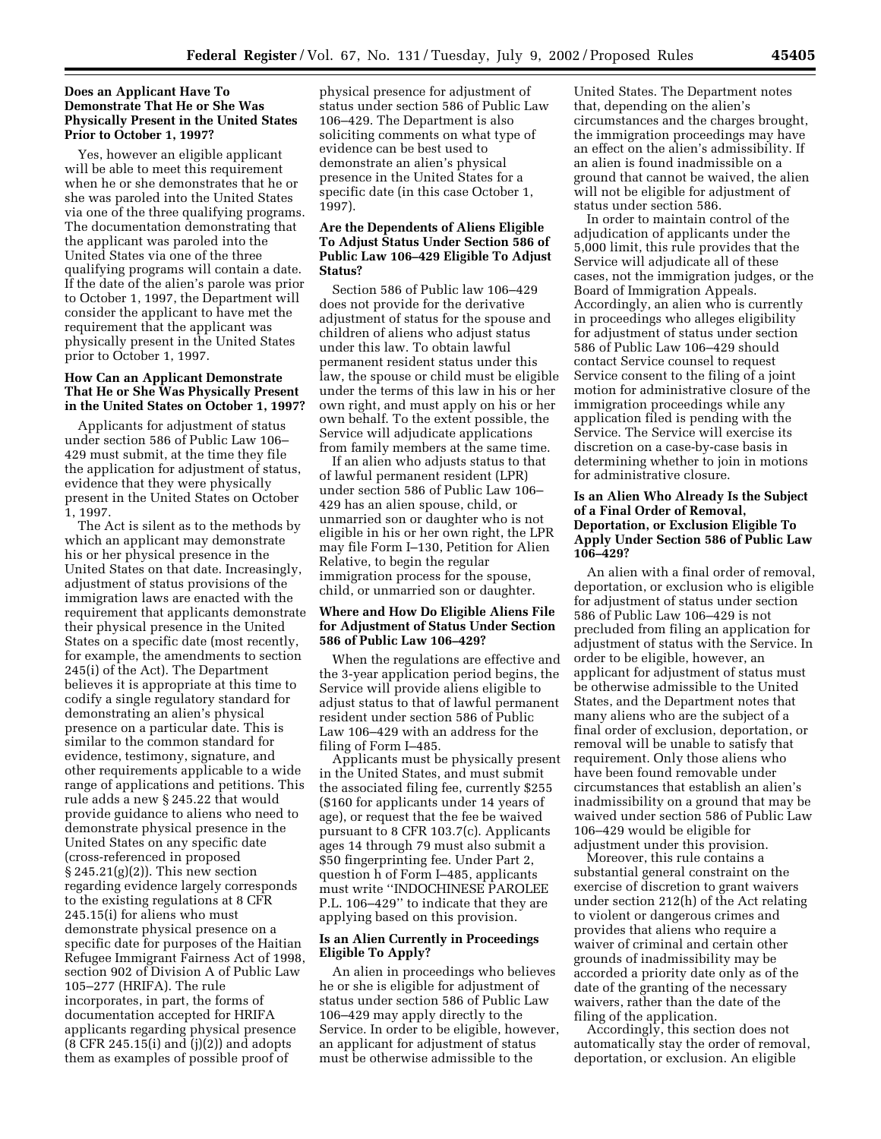# **Does an Applicant Have To Demonstrate That He or She Was Physically Present in the United States Prior to October 1, 1997?**

Yes, however an eligible applicant will be able to meet this requirement when he or she demonstrates that he or she was paroled into the United States via one of the three qualifying programs. The documentation demonstrating that the applicant was paroled into the United States via one of the three qualifying programs will contain a date. If the date of the alien's parole was prior to October 1, 1997, the Department will consider the applicant to have met the requirement that the applicant was physically present in the United States prior to October 1, 1997.

# **How Can an Applicant Demonstrate That He or She Was Physically Present in the United States on October 1, 1997?**

Applicants for adjustment of status under section 586 of Public Law 106– 429 must submit, at the time they file the application for adjustment of status, evidence that they were physically present in the United States on October 1, 1997.

The Act is silent as to the methods by which an applicant may demonstrate his or her physical presence in the United States on that date. Increasingly, adjustment of status provisions of the immigration laws are enacted with the requirement that applicants demonstrate their physical presence in the United States on a specific date (most recently, for example, the amendments to section 245(i) of the Act). The Department believes it is appropriate at this time to codify a single regulatory standard for demonstrating an alien's physical presence on a particular date. This is similar to the common standard for evidence, testimony, signature, and other requirements applicable to a wide range of applications and petitions. This rule adds a new § 245.22 that would provide guidance to aliens who need to demonstrate physical presence in the United States on any specific date (cross-referenced in proposed § 245.21(g)(2)). This new section regarding evidence largely corresponds to the existing regulations at 8 CFR 245.15(i) for aliens who must demonstrate physical presence on a specific date for purposes of the Haitian Refugee Immigrant Fairness Act of 1998, section 902 of Division A of Public Law 105–277 (HRIFA). The rule incorporates, in part, the forms of documentation accepted for HRIFA applicants regarding physical presence (8 CFR 245.15(i) and (j)(2)) and adopts them as examples of possible proof of

physical presence for adjustment of status under section 586 of Public Law 106–429. The Department is also soliciting comments on what type of evidence can be best used to demonstrate an alien's physical presence in the United States for a specific date (in this case October 1, 1997).

# **Are the Dependents of Aliens Eligible To Adjust Status Under Section 586 of Public Law 106–429 Eligible To Adjust Status?**

Section 586 of Public law 106–429 does not provide for the derivative adjustment of status for the spouse and children of aliens who adjust status under this law. To obtain lawful permanent resident status under this law, the spouse or child must be eligible under the terms of this law in his or her own right, and must apply on his or her own behalf. To the extent possible, the Service will adjudicate applications from family members at the same time.

If an alien who adjusts status to that of lawful permanent resident (LPR) under section 586 of Public Law 106– 429 has an alien spouse, child, or unmarried son or daughter who is not eligible in his or her own right, the LPR may file Form I–130, Petition for Alien Relative, to begin the regular immigration process for the spouse, child, or unmarried son or daughter.

# **Where and How Do Eligible Aliens File for Adjustment of Status Under Section 586 of Public Law 106–429?**

When the regulations are effective and the 3-year application period begins, the Service will provide aliens eligible to adjust status to that of lawful permanent resident under section 586 of Public Law 106–429 with an address for the filing of Form I–485.

Applicants must be physically present in the United States, and must submit the associated filing fee, currently \$255 (\$160 for applicants under 14 years of age), or request that the fee be waived pursuant to 8 CFR 103.7(c). Applicants ages 14 through 79 must also submit a \$50 fingerprinting fee. Under Part 2, question h of Form I–485, applicants must write ''INDOCHINESE PAROLEE P.L. 106–429'' to indicate that they are applying based on this provision.

# **Is an Alien Currently in Proceedings Eligible To Apply?**

An alien in proceedings who believes he or she is eligible for adjustment of status under section 586 of Public Law 106–429 may apply directly to the Service. In order to be eligible, however, an applicant for adjustment of status must be otherwise admissible to the

United States. The Department notes that, depending on the alien's circumstances and the charges brought, the immigration proceedings may have an effect on the alien's admissibility. If an alien is found inadmissible on a ground that cannot be waived, the alien will not be eligible for adjustment of status under section 586.

In order to maintain control of the adjudication of applicants under the 5,000 limit, this rule provides that the Service will adjudicate all of these cases, not the immigration judges, or the Board of Immigration Appeals. Accordingly, an alien who is currently in proceedings who alleges eligibility for adjustment of status under section 586 of Public Law 106–429 should contact Service counsel to request Service consent to the filing of a joint motion for administrative closure of the immigration proceedings while any application filed is pending with the Service. The Service will exercise its discretion on a case-by-case basis in determining whether to join in motions for administrative closure.

# **Is an Alien Who Already Is the Subject of a Final Order of Removal, Deportation, or Exclusion Eligible To Apply Under Section 586 of Public Law 106–429?**

An alien with a final order of removal, deportation, or exclusion who is eligible for adjustment of status under section 586 of Public Law 106–429 is not precluded from filing an application for adjustment of status with the Service. In order to be eligible, however, an applicant for adjustment of status must be otherwise admissible to the United States, and the Department notes that many aliens who are the subject of a final order of exclusion, deportation, or removal will be unable to satisfy that requirement. Only those aliens who have been found removable under circumstances that establish an alien's inadmissibility on a ground that may be waived under section 586 of Public Law 106–429 would be eligible for adjustment under this provision.

Moreover, this rule contains a substantial general constraint on the exercise of discretion to grant waivers under section 212(h) of the Act relating to violent or dangerous crimes and provides that aliens who require a waiver of criminal and certain other grounds of inadmissibility may be accorded a priority date only as of the date of the granting of the necessary waivers, rather than the date of the filing of the application.

Accordingly, this section does not automatically stay the order of removal, deportation, or exclusion. An eligible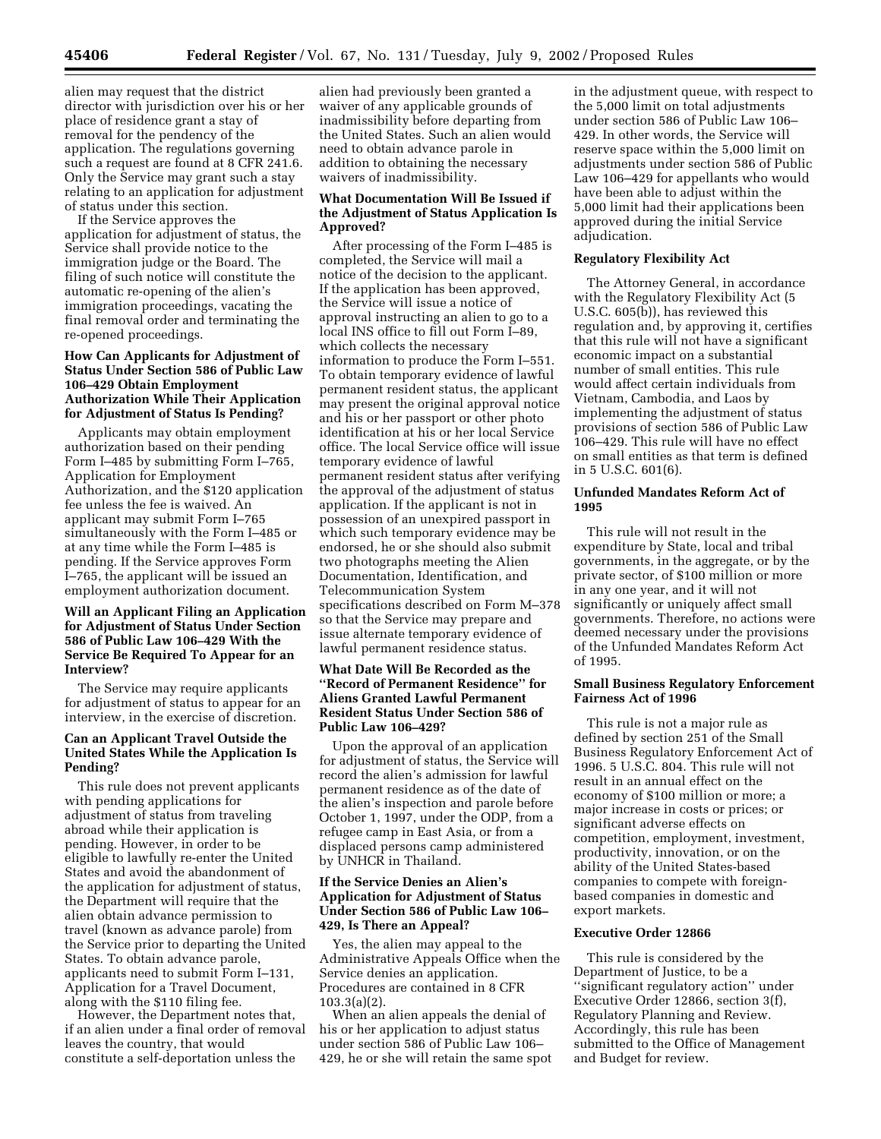alien may request that the district director with jurisdiction over his or her place of residence grant a stay of removal for the pendency of the application. The regulations governing such a request are found at 8 CFR 241.6. Only the Service may grant such a stay relating to an application for adjustment of status under this section.

If the Service approves the application for adjustment of status, the Service shall provide notice to the immigration judge or the Board. The filing of such notice will constitute the automatic re-opening of the alien's immigration proceedings, vacating the final removal order and terminating the re-opened proceedings.

# **How Can Applicants for Adjustment of Status Under Section 586 of Public Law 106–429 Obtain Employment Authorization While Their Application for Adjustment of Status Is Pending?**

Applicants may obtain employment authorization based on their pending Form I–485 by submitting Form I–765, Application for Employment Authorization, and the \$120 application fee unless the fee is waived. An applicant may submit Form I–765 simultaneously with the Form I–485 or at any time while the Form I–485 is pending. If the Service approves Form I–765, the applicant will be issued an employment authorization document.

# **Will an Applicant Filing an Application for Adjustment of Status Under Section 586 of Public Law 106–429 With the Service Be Required To Appear for an Interview?**

The Service may require applicants for adjustment of status to appear for an interview, in the exercise of discretion.

# **Can an Applicant Travel Outside the United States While the Application Is Pending?**

This rule does not prevent applicants with pending applications for adjustment of status from traveling abroad while their application is pending. However, in order to be eligible to lawfully re-enter the United States and avoid the abandonment of the application for adjustment of status, the Department will require that the alien obtain advance permission to travel (known as advance parole) from the Service prior to departing the United States. To obtain advance parole, applicants need to submit Form I–131, Application for a Travel Document, along with the \$110 filing fee.

However, the Department notes that, if an alien under a final order of removal leaves the country, that would constitute a self-deportation unless the

alien had previously been granted a waiver of any applicable grounds of inadmissibility before departing from the United States. Such an alien would need to obtain advance parole in addition to obtaining the necessary waivers of inadmissibility.

# **What Documentation Will Be Issued if the Adjustment of Status Application Is Approved?**

After processing of the Form I–485 is completed, the Service will mail a notice of the decision to the applicant. If the application has been approved, the Service will issue a notice of approval instructing an alien to go to a local INS office to fill out Form I–89, which collects the necessary information to produce the Form I–551. To obtain temporary evidence of lawful permanent resident status, the applicant may present the original approval notice and his or her passport or other photo identification at his or her local Service office. The local Service office will issue temporary evidence of lawful permanent resident status after verifying the approval of the adjustment of status application. If the applicant is not in possession of an unexpired passport in which such temporary evidence may be endorsed, he or she should also submit two photographs meeting the Alien Documentation, Identification, and Telecommunication System specifications described on Form M–378 so that the Service may prepare and issue alternate temporary evidence of lawful permanent residence status.

# **What Date Will Be Recorded as the ''Record of Permanent Residence'' for Aliens Granted Lawful Permanent Resident Status Under Section 586 of Public Law 106–429?**

Upon the approval of an application for adjustment of status, the Service will record the alien's admission for lawful permanent residence as of the date of the alien's inspection and parole before October 1, 1997, under the ODP, from a refugee camp in East Asia, or from a displaced persons camp administered by UNHCR in Thailand.

# **If the Service Denies an Alien's Application for Adjustment of Status Under Section 586 of Public Law 106– 429, Is There an Appeal?**

Yes, the alien may appeal to the Administrative Appeals Office when the Service denies an application. Procedures are contained in 8 CFR 103.3(a)(2).

When an alien appeals the denial of his or her application to adjust status under section 586 of Public Law 106– 429, he or she will retain the same spot in the adjustment queue, with respect to the 5,000 limit on total adjustments under section 586 of Public Law 106– 429. In other words, the Service will reserve space within the 5,000 limit on adjustments under section 586 of Public Law 106–429 for appellants who would have been able to adjust within the 5,000 limit had their applications been approved during the initial Service adjudication.

# **Regulatory Flexibility Act**

The Attorney General, in accordance with the Regulatory Flexibility Act (5 U.S.C. 605(b)), has reviewed this regulation and, by approving it, certifies that this rule will not have a significant economic impact on a substantial number of small entities. This rule would affect certain individuals from Vietnam, Cambodia, and Laos by implementing the adjustment of status provisions of section 586 of Public Law 106–429. This rule will have no effect on small entities as that term is defined in 5 U.S.C. 601(6).

#### **Unfunded Mandates Reform Act of 1995**

This rule will not result in the expenditure by State, local and tribal governments, in the aggregate, or by the private sector, of \$100 million or more in any one year, and it will not significantly or uniquely affect small governments. Therefore, no actions were deemed necessary under the provisions of the Unfunded Mandates Reform Act of 1995.

## **Small Business Regulatory Enforcement Fairness Act of 1996**

This rule is not a major rule as defined by section 251 of the Small Business Regulatory Enforcement Act of 1996. 5 U.S.C. 804. This rule will not result in an annual effect on the economy of \$100 million or more; a major increase in costs or prices; or significant adverse effects on competition, employment, investment, productivity, innovation, or on the ability of the United States-based companies to compete with foreignbased companies in domestic and export markets.

#### **Executive Order 12866**

This rule is considered by the Department of Justice, to be a ''significant regulatory action'' under Executive Order 12866, section 3(f), Regulatory Planning and Review. Accordingly, this rule has been submitted to the Office of Management and Budget for review.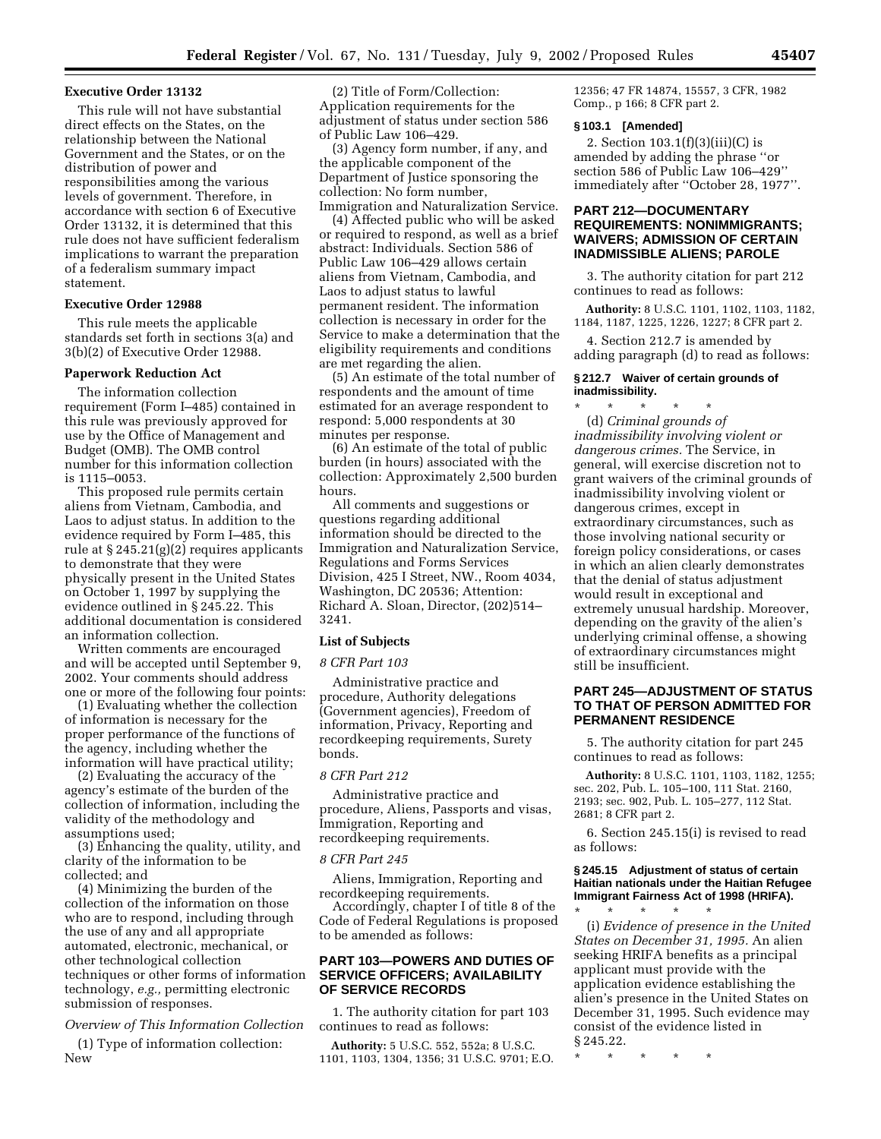## **Executive Order 13132**

This rule will not have substantial direct effects on the States, on the relationship between the National Government and the States, or on the distribution of power and responsibilities among the various levels of government. Therefore, in accordance with section 6 of Executive Order 13132, it is determined that this rule does not have sufficient federalism implications to warrant the preparation of a federalism summary impact statement.

## **Executive Order 12988**

This rule meets the applicable standards set forth in sections 3(a) and 3(b)(2) of Executive Order 12988.

#### **Paperwork Reduction Act**

The information collection requirement (Form I–485) contained in this rule was previously approved for use by the Office of Management and Budget (OMB). The OMB control number for this information collection is 1115–0053.

This proposed rule permits certain aliens from Vietnam, Cambodia, and Laos to adjust status. In addition to the evidence required by Form I–485, this rule at § 245.21(g)(2) requires applicants to demonstrate that they were physically present in the United States on October 1, 1997 by supplying the evidence outlined in § 245.22. This additional documentation is considered an information collection.

Written comments are encouraged and will be accepted until September 9, 2002. Your comments should address one or more of the following four points:

(1) Evaluating whether the collection of information is necessary for the proper performance of the functions of the agency, including whether the information will have practical utility;

(2) Evaluating the accuracy of the agency's estimate of the burden of the collection of information, including the validity of the methodology and assumptions used;

(3) Enhancing the quality, utility, and clarity of the information to be collected; and

(4) Minimizing the burden of the collection of the information on those who are to respond, including through the use of any and all appropriate automated, electronic, mechanical, or other technological collection techniques or other forms of information technology, *e.g.,* permitting electronic submission of responses.

*Overview of This Information Collection* 

(1) Type of information collection: New

(2) Title of Form/Collection: Application requirements for the adjustment of status under section 586 of Public Law 106–429.

(3) Agency form number, if any, and the applicable component of the Department of Justice sponsoring the collection: No form number, Immigration and Naturalization Service.

(4) Affected public who will be asked or required to respond, as well as a brief abstract: Individuals. Section 586 of Public Law 106–429 allows certain aliens from Vietnam, Cambodia, and Laos to adjust status to lawful permanent resident. The information collection is necessary in order for the Service to make a determination that the eligibility requirements and conditions are met regarding the alien.

(5) An estimate of the total number of respondents and the amount of time estimated for an average respondent to respond: 5,000 respondents at 30 minutes per response.

(6) An estimate of the total of public burden (in hours) associated with the collection: Approximately 2,500 burden hours.

All comments and suggestions or questions regarding additional information should be directed to the Immigration and Naturalization Service, Regulations and Forms Services Division, 425 I Street, NW., Room 4034, Washington, DC 20536; Attention: Richard A. Sloan, Director, (202)514– 3241.

# **List of Subjects**

#### *8 CFR Part 103*

Administrative practice and procedure, Authority delegations (Government agencies), Freedom of information, Privacy, Reporting and recordkeeping requirements, Surety bonds.

# *8 CFR Part 212*

Administrative practice and procedure, Aliens, Passports and visas, Immigration, Reporting and recordkeeping requirements.

#### *8 CFR Part 245*

Aliens, Immigration, Reporting and recordkeeping requirements.

Accordingly, chapter I of title 8 of the Code of Federal Regulations is proposed to be amended as follows:

# **PART 103—POWERS AND DUTIES OF SERVICE OFFICERS; AVAILABILITY OF SERVICE RECORDS**

1. The authority citation for part 103 continues to read as follows:

**Authority:** 5 U.S.C. 552, 552a; 8 U.S.C. 1101, 1103, 1304, 1356; 31 U.S.C. 9701; E.O.

12356; 47 FR 14874, 15557, 3 CFR, 1982 Comp., p 166; 8 CFR part 2.

## **§ 103.1 [Amended]**

2. Section 103.1(f)(3)(iii)(C) is amended by adding the phrase ''or section 586 of Public Law 106–429'' immediately after ''October 28, 1977''.

# **PART 212—DOCUMENTARY REQUIREMENTS: NONIMMIGRANTS; WAIVERS; ADMISSION OF CERTAIN INADMISSIBLE ALIENS; PAROLE**

3. The authority citation for part 212 continues to read as follows:

**Authority:** 8 U.S.C. 1101, 1102, 1103, 1182, 1184, 1187, 1225, 1226, 1227; 8 CFR part 2.

4. Section 212.7 is amended by adding paragraph (d) to read as follows:

# **§ 212.7 Waiver of certain grounds of inadmissibility.**

\* \* \* \* \* (d) *Criminal grounds of inadmissibility involving violent or dangerous crimes.* The Service, in general, will exercise discretion not to grant waivers of the criminal grounds of inadmissibility involving violent or dangerous crimes, except in extraordinary circumstances, such as those involving national security or foreign policy considerations, or cases in which an alien clearly demonstrates that the denial of status adjustment would result in exceptional and extremely unusual hardship. Moreover, depending on the gravity of the alien's underlying criminal offense, a showing of extraordinary circumstances might still be insufficient.

# **PART 245—ADJUSTMENT OF STATUS TO THAT OF PERSON ADMITTED FOR PERMANENT RESIDENCE**

5. The authority citation for part 245 continues to read as follows:

**Authority:** 8 U.S.C. 1101, 1103, 1182, 1255; sec. 202, Pub. L. 105–100, 111 Stat. 2160, 2193; sec. 902, Pub. L. 105–277, 112 Stat. 2681; 8 CFR part 2.

6. Section 245.15(i) is revised to read as follows:

## **§ 245.15 Adjustment of status of certain Haitian nationals under the Haitian Refugee Immigrant Fairness Act of 1998 (HRIFA).**

\* \* \* \* \* (i) *Evidence of presence in the United States on December 31, 1995.* An alien seeking HRIFA benefits as a principal applicant must provide with the application evidence establishing the alien's presence in the United States on December 31, 1995. Such evidence may consist of the evidence listed in § 245.22.

\* \* \* \* \*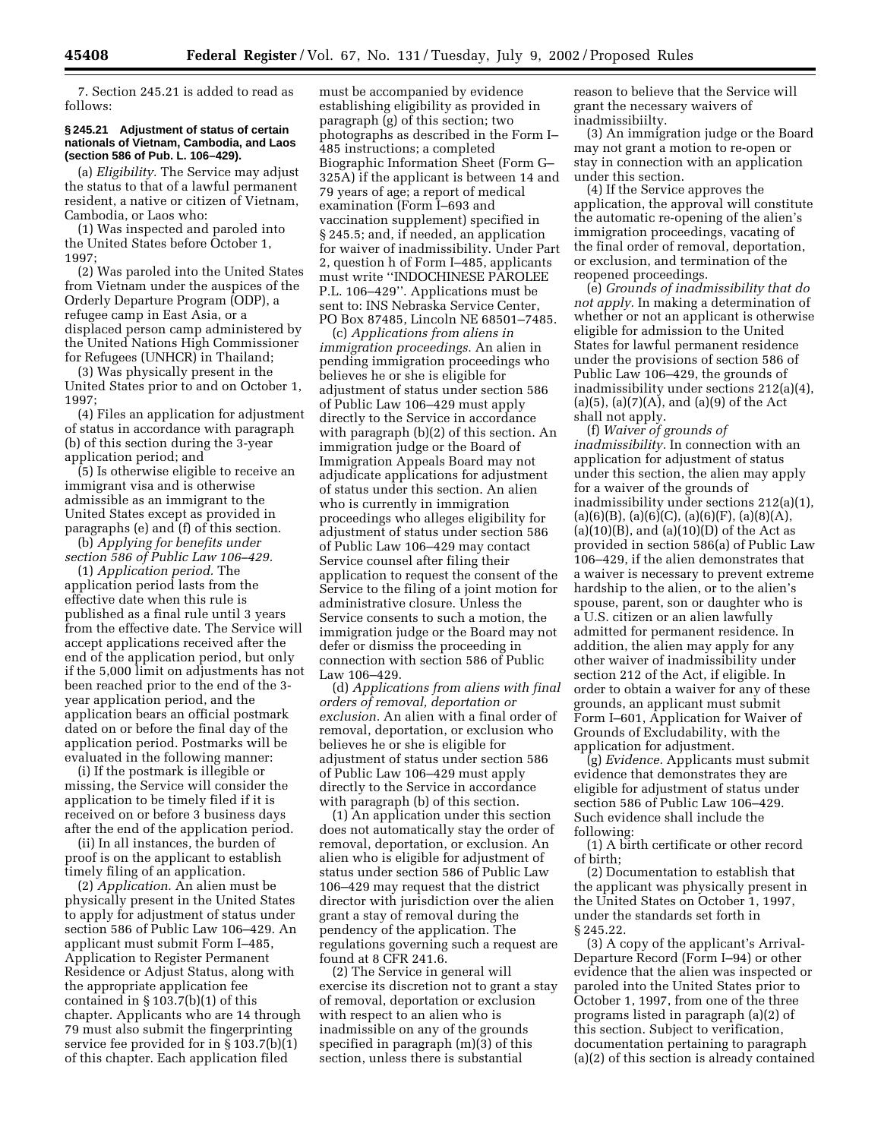7. Section 245.21 is added to read as follows:

#### **§ 245.21 Adjustment of status of certain nationals of Vietnam, Cambodia, and Laos (section 586 of Pub. L. 106–429).**

(a) *Eligibility.* The Service may adjust the status to that of a lawful permanent resident, a native or citizen of Vietnam, Cambodia, or Laos who:

(1) Was inspected and paroled into the United States before October 1, 1997;

(2) Was paroled into the United States from Vietnam under the auspices of the Orderly Departure Program (ODP), a refugee camp in East Asia, or a displaced person camp administered by the United Nations High Commissioner for Refugees (UNHCR) in Thailand;

(3) Was physically present in the United States prior to and on October 1, 1997;

(4) Files an application for adjustment of status in accordance with paragraph (b) of this section during the 3-year application period; and

(5) Is otherwise eligible to receive an immigrant visa and is otherwise admissible as an immigrant to the United States except as provided in paragraphs (e) and (f) of this section.

(b) *Applying for benefits under section 586 of Public Law 106–429.*

(1) *Application period.* The application period lasts from the effective date when this rule is published as a final rule until 3 years from the effective date. The Service will accept applications received after the end of the application period, but only if the 5,000 limit on adjustments has not been reached prior to the end of the 3 year application period, and the application bears an official postmark dated on or before the final day of the application period. Postmarks will be evaluated in the following manner:

(i) If the postmark is illegible or missing, the Service will consider the application to be timely filed if it is received on or before 3 business days after the end of the application period.

(ii) In all instances, the burden of proof is on the applicant to establish timely filing of an application.

(2) *Application.* An alien must be physically present in the United States to apply for adjustment of status under section 586 of Public Law 106–429. An applicant must submit Form I–485, Application to Register Permanent Residence or Adjust Status, along with the appropriate application fee contained in § 103.7(b)(1) of this chapter. Applicants who are 14 through 79 must also submit the fingerprinting service fee provided for in § 103.7(b)(1) of this chapter. Each application filed

must be accompanied by evidence establishing eligibility as provided in paragraph (g) of this section; two photographs as described in the Form I– 485 instructions; a completed Biographic Information Sheet (Form G– 325A) if the applicant is between 14 and 79 years of age; a report of medical examination (Form I–693 and vaccination supplement) specified in § 245.5; and, if needed, an application for waiver of inadmissibility. Under Part 2, question h of Form I–485, applicants must write ''INDOCHINESE PAROLEE P.L. 106–429''. Applications must be sent to: INS Nebraska Service Center, PO Box 87485, Lincoln NE 68501–7485.

(c) *Applications from aliens in immigration proceedings.* An alien in pending immigration proceedings who believes he or she is eligible for adjustment of status under section 586 of Public Law 106–429 must apply directly to the Service in accordance with paragraph (b)(2) of this section. An immigration judge or the Board of Immigration Appeals Board may not adjudicate applications for adjustment of status under this section. An alien who is currently in immigration proceedings who alleges eligibility for adjustment of status under section 586 of Public Law 106–429 may contact Service counsel after filing their application to request the consent of the Service to the filing of a joint motion for administrative closure. Unless the Service consents to such a motion, the immigration judge or the Board may not defer or dismiss the proceeding in connection with section 586 of Public Law 106–429.

(d) *Applications from aliens with final orders of removal, deportation or exclusion.* An alien with a final order of removal, deportation, or exclusion who believes he or she is eligible for adjustment of status under section 586 of Public Law 106–429 must apply directly to the Service in accordance with paragraph (b) of this section.

(1) An application under this section does not automatically stay the order of removal, deportation, or exclusion. An alien who is eligible for adjustment of status under section 586 of Public Law 106–429 may request that the district director with jurisdiction over the alien grant a stay of removal during the pendency of the application. The regulations governing such a request are found at 8 CFR 241.6.

(2) The Service in general will exercise its discretion not to grant a stay of removal, deportation or exclusion with respect to an alien who is inadmissible on any of the grounds specified in paragraph (m)(3) of this section, unless there is substantial

reason to believe that the Service will grant the necessary waivers of inadmissibiilty.

(3) An immigration judge or the Board may not grant a motion to re-open or stay in connection with an application under this section.

(4) If the Service approves the application, the approval will constitute the automatic re-opening of the alien's immigration proceedings, vacating of the final order of removal, deportation, or exclusion, and termination of the reopened proceedings.

(e) *Grounds of inadmissibility that do not apply.* In making a determination of whether or not an applicant is otherwise eligible for admission to the United States for lawful permanent residence under the provisions of section 586 of Public Law 106–429, the grounds of inadmissibility under sections 212(a)(4),  $(a)(5)$ ,  $(a)(7)(A)$ , and  $(a)(9)$  of the Act shall not apply.

(f) *Waiver of grounds of inadmissibility.* In connection with an application for adjustment of status under this section, the alien may apply for a waiver of the grounds of inadmissibility under sections 212(a)(1),  $(a)(6)(B)$ ,  $(a)(6)(C)$ ,  $(a)(6)(F)$ ,  $(a)(8)(A)$ ,  $(a)(10)(B)$ , and  $(a)(10)(D)$  of the Act as provided in section 586(a) of Public Law 106–429, if the alien demonstrates that a waiver is necessary to prevent extreme hardship to the alien, or to the alien's spouse, parent, son or daughter who is a U.S. citizen or an alien lawfully admitted for permanent residence. In addition, the alien may apply for any other waiver of inadmissibility under section 212 of the Act, if eligible. In order to obtain a waiver for any of these grounds, an applicant must submit Form I–601, Application for Waiver of Grounds of Excludability, with the application for adjustment.

(g) *Evidence.* Applicants must submit evidence that demonstrates they are eligible for adjustment of status under section 586 of Public Law 106–429. Such evidence shall include the following:

(1) A birth certificate or other record of birth;

(2) Documentation to establish that the applicant was physically present in the United States on October 1, 1997, under the standards set forth in § 245.22.

(3) A copy of the applicant's Arrival-Departure Record (Form I–94) or other evidence that the alien was inspected or paroled into the United States prior to October 1, 1997, from one of the three programs listed in paragraph (a)(2) of this section. Subject to verification, documentation pertaining to paragraph (a)(2) of this section is already contained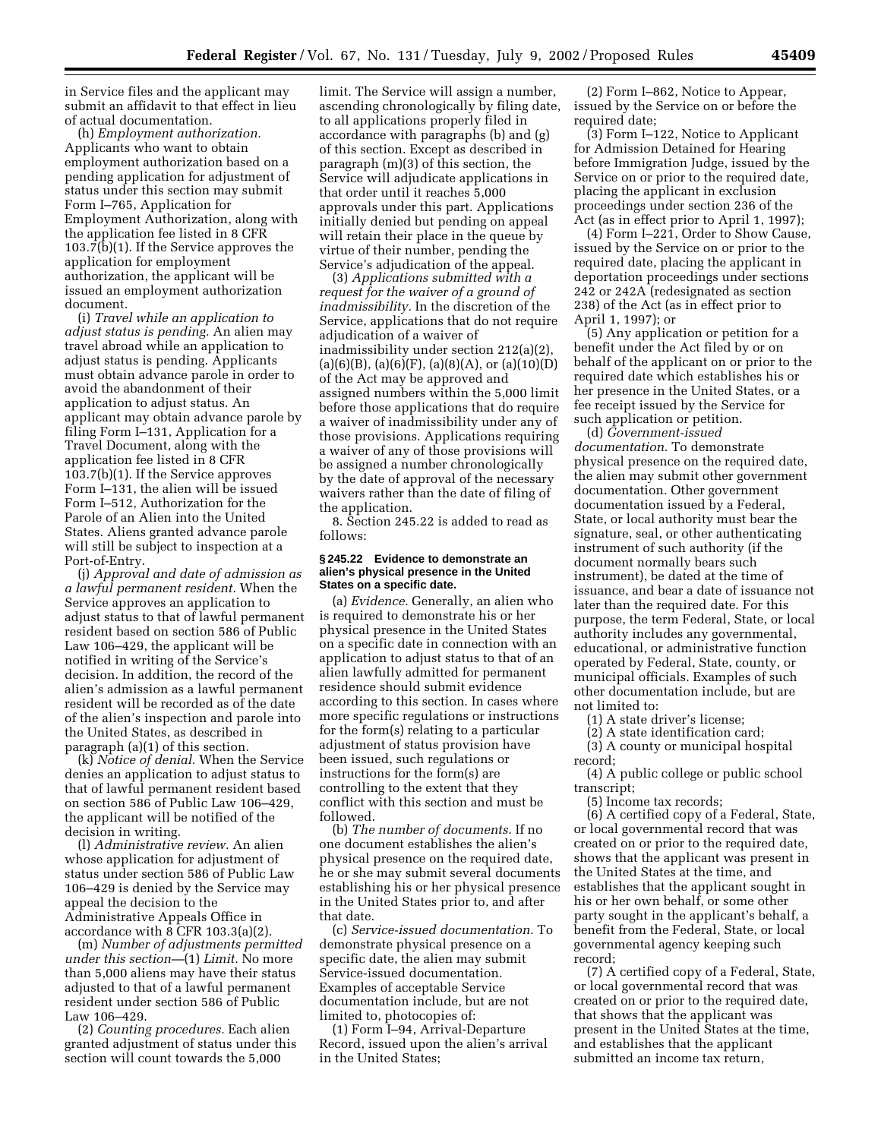in Service files and the applicant may submit an affidavit to that effect in lieu of actual documentation.

(h) *Employment authorization.* Applicants who want to obtain employment authorization based on a pending application for adjustment of status under this section may submit Form I–765, Application for Employment Authorization, along with the application fee listed in 8 CFR 103.7(b)(1). If the Service approves the application for employment authorization, the applicant will be issued an employment authorization document.

(i) *Travel while an application to adjust status is pending.* An alien may travel abroad while an application to adjust status is pending. Applicants must obtain advance parole in order to avoid the abandonment of their application to adjust status. An applicant may obtain advance parole by filing Form I–131, Application for a Travel Document, along with the application fee listed in 8 CFR 103.7(b)(1). If the Service approves Form I–131, the alien will be issued Form I–512, Authorization for the Parole of an Alien into the United States. Aliens granted advance parole will still be subject to inspection at a Port-of-Entry.

(j) *Approval and date of admission as a lawful permanent resident.* When the Service approves an application to adjust status to that of lawful permanent resident based on section 586 of Public Law 106–429, the applicant will be notified in writing of the Service's decision. In addition, the record of the alien's admission as a lawful permanent resident will be recorded as of the date of the alien's inspection and parole into the United States, as described in paragraph (a)(1) of this section.

(k) *Notice of denial.* When the Service denies an application to adjust status to that of lawful permanent resident based on section 586 of Public Law 106–429, the applicant will be notified of the decision in writing.

(l) *Administrative review.* An alien whose application for adjustment of status under section 586 of Public Law 106–429 is denied by the Service may appeal the decision to the Administrative Appeals Office in accordance with 8 CFR 103.3(a)(2).

(m) *Number of adjustments permitted under this section—*(1) *Limit.* No more than 5,000 aliens may have their status adjusted to that of a lawful permanent resident under section 586 of Public Law 106–429.

(2) *Counting procedures.* Each alien granted adjustment of status under this section will count towards the 5,000

limit. The Service will assign a number, ascending chronologically by filing date, to all applications properly filed in accordance with paragraphs (b) and (g) of this section. Except as described in paragraph (m)(3) of this section, the Service will adjudicate applications in that order until it reaches 5,000 approvals under this part. Applications initially denied but pending on appeal will retain their place in the queue by virtue of their number, pending the Service's adjudication of the appeal.

(3) *Applications submitted with a request for the waiver of a ground of inadmissibility.* In the discretion of the Service, applications that do not require adjudication of a waiver of inadmissibility under section 212(a)(2),  $(a)(6)(B)$ ,  $(a)(6)(F)$ ,  $(a)(8)(A)$ , or  $(a)(10)(D)$ of the Act may be approved and assigned numbers within the 5,000 limit before those applications that do require a waiver of inadmissibility under any of those provisions. Applications requiring a waiver of any of those provisions will be assigned a number chronologically by the date of approval of the necessary waivers rather than the date of filing of the application.

8. Section 245.22 is added to read as follows:

#### **§ 245.22 Evidence to demonstrate an alien's physical presence in the United States on a specific date.**

(a) *Evidence.* Generally, an alien who is required to demonstrate his or her physical presence in the United States on a specific date in connection with an application to adjust status to that of an alien lawfully admitted for permanent residence should submit evidence according to this section. In cases where more specific regulations or instructions for the form(s) relating to a particular adjustment of status provision have been issued, such regulations or instructions for the form(s) are controlling to the extent that they conflict with this section and must be followed.

(b) *The number of documents.* If no one document establishes the alien's physical presence on the required date, he or she may submit several documents establishing his or her physical presence in the United States prior to, and after that date.

(c) *Service-issued documentation.* To demonstrate physical presence on a specific date, the alien may submit Service-issued documentation. Examples of acceptable Service documentation include, but are not limited to, photocopies of:

(1) Form I–94, Arrival-Departure Record, issued upon the alien's arrival in the United States;

(2) Form I–862, Notice to Appear, issued by the Service on or before the required date;

(3) Form I–122, Notice to Applicant for Admission Detained for Hearing before Immigration Judge, issued by the Service on or prior to the required date, placing the applicant in exclusion proceedings under section 236 of the Act (as in effect prior to April 1, 1997);

(4) Form I–221, Order to Show Cause, issued by the Service on or prior to the required date, placing the applicant in deportation proceedings under sections 242 or 242A (redesignated as section 238) of the Act (as in effect prior to April 1, 1997); or

(5) Any application or petition for a benefit under the Act filed by or on behalf of the applicant on or prior to the required date which establishes his or her presence in the United States, or a fee receipt issued by the Service for such application or petition.

(d) *Government-issued documentation.* To demonstrate physical presence on the required date, the alien may submit other government documentation. Other government documentation issued by a Federal, State, or local authority must bear the signature, seal, or other authenticating instrument of such authority (if the document normally bears such instrument), be dated at the time of issuance, and bear a date of issuance not later than the required date. For this purpose, the term Federal, State, or local authority includes any governmental, educational, or administrative function operated by Federal, State, county, or municipal officials. Examples of such other documentation include, but are not limited to:

(1) A state driver's license;

(2) A state identification card;

(3) A county or municipal hospital

record; (4) A public college or public school transcript;

(5) Income tax records;

(6) A certified copy of a Federal, State, or local governmental record that was created on or prior to the required date, shows that the applicant was present in the United States at the time, and establishes that the applicant sought in his or her own behalf, or some other party sought in the applicant's behalf, a benefit from the Federal, State, or local governmental agency keeping such record;

(7) A certified copy of a Federal, State, or local governmental record that was created on or prior to the required date, that shows that the applicant was present in the United States at the time, and establishes that the applicant submitted an income tax return,